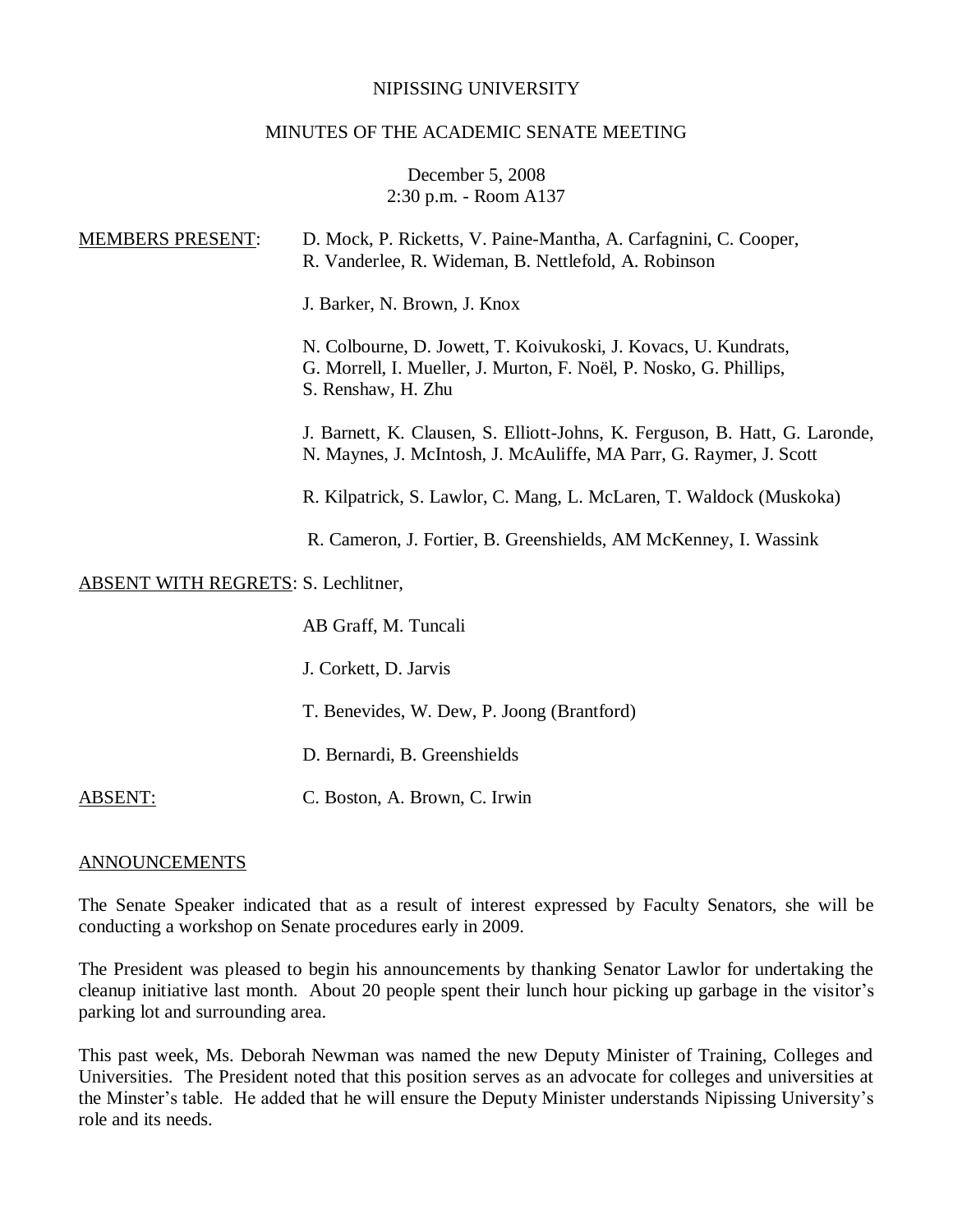#### NIPISSING UNIVERSITY

#### MINUTES OF THE ACADEMIC SENATE MEETING

### December 5, 2008 2:30 p.m. - Room A137

| <b>MEMBERS PRESENT:</b>                    | D. Mock, P. Ricketts, V. Paine-Mantha, A. Carfagnini, C. Cooper,<br>R. Vanderlee, R. Wideman, B. Nettlefold, A. Robinson                                    |
|--------------------------------------------|-------------------------------------------------------------------------------------------------------------------------------------------------------------|
|                                            | J. Barker, N. Brown, J. Knox                                                                                                                                |
|                                            | N. Colbourne, D. Jowett, T. Koivukoski, J. Kovacs, U. Kundrats,<br>G. Morrell, I. Mueller, J. Murton, F. Noël, P. Nosko, G. Phillips,<br>S. Renshaw, H. Zhu |
|                                            | J. Barnett, K. Clausen, S. Elliott-Johns, K. Ferguson, B. Hatt, G. Laronde,<br>N. Maynes, J. McIntosh, J. McAuliffe, MA Parr, G. Raymer, J. Scott           |
|                                            | R. Kilpatrick, S. Lawlor, C. Mang, L. McLaren, T. Waldock (Muskoka)                                                                                         |
|                                            | R. Cameron, J. Fortier, B. Greenshields, AM McKenney, I. Wassink                                                                                            |
| <b>ABSENT WITH REGRETS: S. Lechlitner,</b> |                                                                                                                                                             |
|                                            | AB Graff, M. Tuncali                                                                                                                                        |
|                                            | J. Corkett, D. Jarvis                                                                                                                                       |
|                                            | T. Benevides, W. Dew, P. Joong (Brantford)                                                                                                                  |
|                                            | D. Bernardi, B. Greenshields                                                                                                                                |
|                                            |                                                                                                                                                             |

ABSENT: C. Boston, A. Brown, C. Irwin

#### ANNOUNCEMENTS

The Senate Speaker indicated that as a result of interest expressed by Faculty Senators, she will be conducting a workshop on Senate procedures early in 2009.

The President was pleased to begin his announcements by thanking Senator Lawlor for undertaking the cleanup initiative last month. About 20 people spent their lunch hour picking up garbage in the visitor's parking lot and surrounding area.

This past week, Ms. Deborah Newman was named the new Deputy Minister of Training, Colleges and Universities. The President noted that this position serves as an advocate for colleges and universities at the Minster's table. He added that he will ensure the Deputy Minister understands Nipissing University's role and its needs.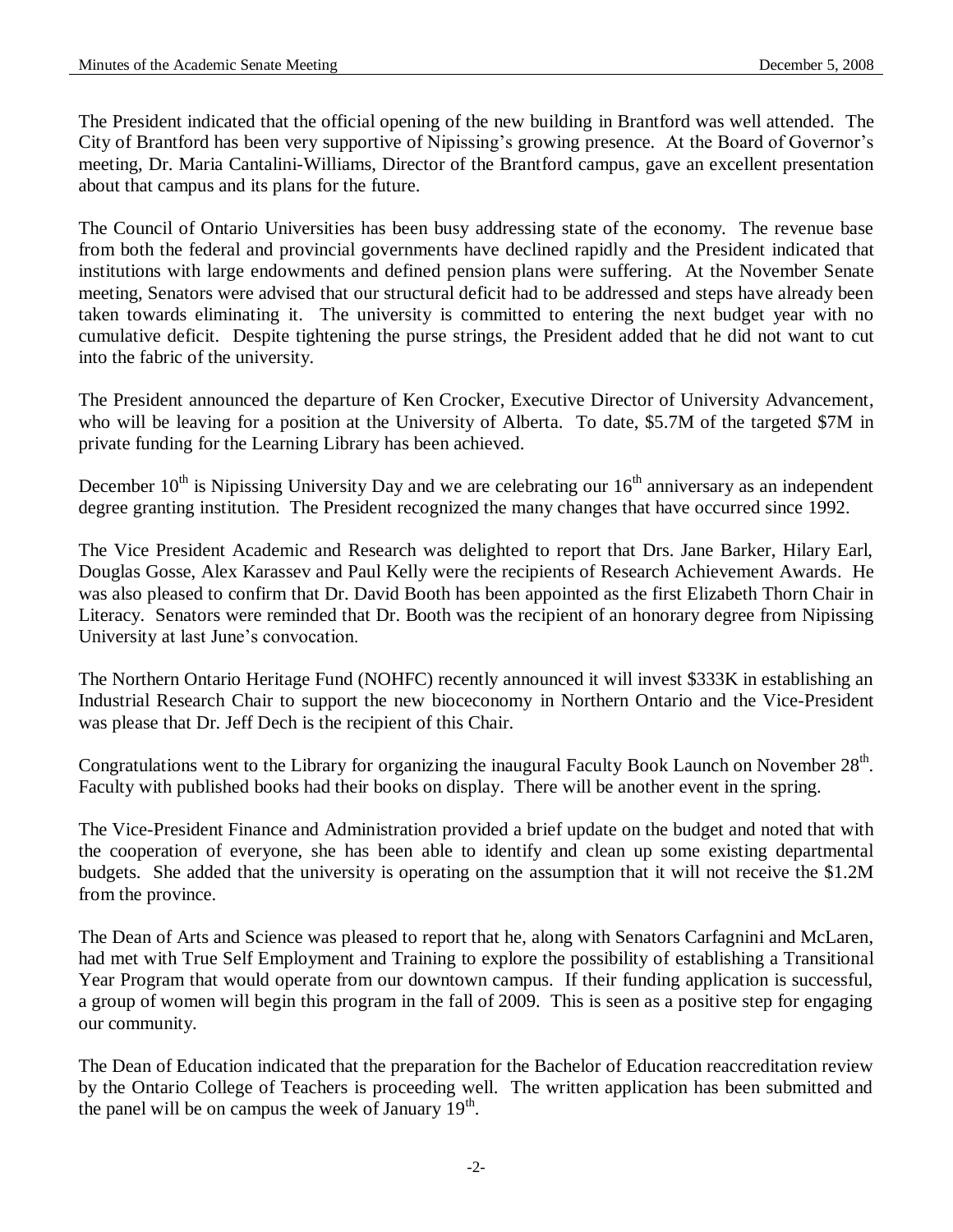The President indicated that the official opening of the new building in Brantford was well attended. The City of Brantford has been very supportive of Nipissing's growing presence. At the Board of Governor's meeting, Dr. Maria Cantalini-Williams, Director of the Brantford campus, gave an excellent presentation about that campus and its plans for the future.

The Council of Ontario Universities has been busy addressing state of the economy. The revenue base from both the federal and provincial governments have declined rapidly and the President indicated that institutions with large endowments and defined pension plans were suffering. At the November Senate meeting, Senators were advised that our structural deficit had to be addressed and steps have already been taken towards eliminating it. The university is committed to entering the next budget year with no cumulative deficit. Despite tightening the purse strings, the President added that he did not want to cut into the fabric of the university.

The President announced the departure of Ken Crocker, Executive Director of University Advancement, who will be leaving for a position at the University of Alberta. To date, \$5.7M of the targeted \$7M in private funding for the Learning Library has been achieved.

December  $10^{th}$  is Nipissing University Day and we are celebrating our  $16^{th}$  anniversary as an independent degree granting institution. The President recognized the many changes that have occurred since 1992.

The Vice President Academic and Research was delighted to report that Drs. Jane Barker, Hilary Earl, Douglas Gosse, Alex Karassev and Paul Kelly were the recipients of Research Achievement Awards. He was also pleased to confirm that Dr. David Booth has been appointed as the first Elizabeth Thorn Chair in Literacy. Senators were reminded that Dr. Booth was the recipient of an honorary degree from Nipissing University at last June's convocation.

The Northern Ontario Heritage Fund (NOHFC) recently announced it will invest \$333K in establishing an Industrial Research Chair to support the new bioceconomy in Northern Ontario and the Vice-President was please that Dr. Jeff Dech is the recipient of this Chair.

Congratulations went to the Library for organizing the inaugural Faculty Book Launch on November  $28<sup>th</sup>$ . Faculty with published books had their books on display. There will be another event in the spring.

The Vice-President Finance and Administration provided a brief update on the budget and noted that with the cooperation of everyone, she has been able to identify and clean up some existing departmental budgets. She added that the university is operating on the assumption that it will not receive the \$1.2M from the province.

The Dean of Arts and Science was pleased to report that he, along with Senators Carfagnini and McLaren, had met with True Self Employment and Training to explore the possibility of establishing a Transitional Year Program that would operate from our downtown campus. If their funding application is successful, a group of women will begin this program in the fall of 2009. This is seen as a positive step for engaging our community.

The Dean of Education indicated that the preparation for the Bachelor of Education reaccreditation review by the Ontario College of Teachers is proceeding well. The written application has been submitted and the panel will be on campus the week of January  $19<sup>th</sup>$ .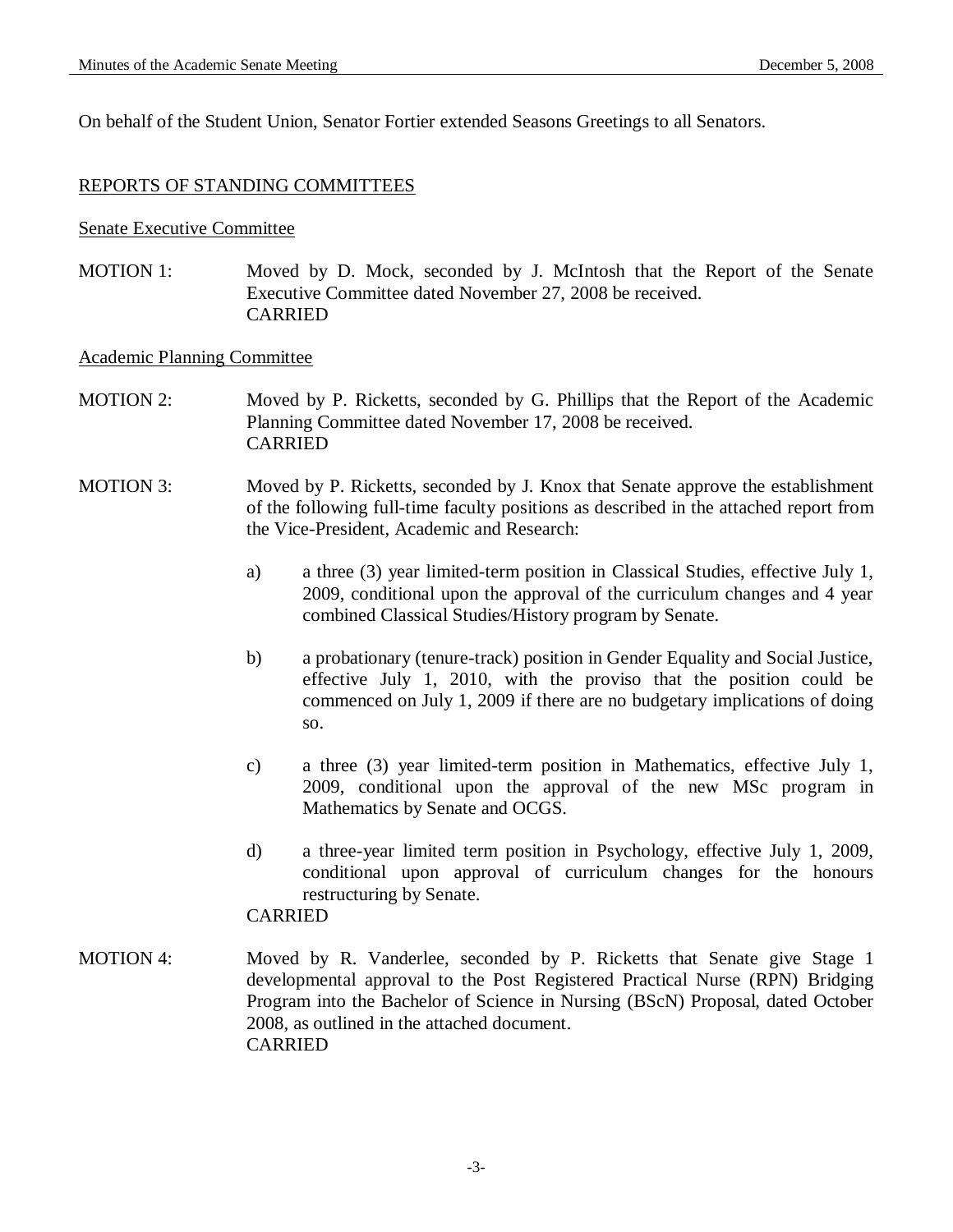On behalf of the Student Union, Senator Fortier extended Seasons Greetings to all Senators.

### REPORTS OF STANDING COMMITTEES

#### Senate Executive Committee

MOTION 1: Moved by D. Mock, seconded by J. McIntosh that the Report of the Senate Executive Committee dated November 27, 2008 be received. CARRIED

#### Academic Planning Committee

- MOTION 2: Moved by P. Ricketts, seconded by G. Phillips that the Report of the Academic Planning Committee dated November 17, 2008 be received. CARRIED
- MOTION 3: Moved by P. Ricketts, seconded by J. Knox that Senate approve the establishment of the following full-time faculty positions as described in the attached report from the Vice-President, Academic and Research:
	- a) a three (3) year limited-term position in Classical Studies, effective July 1, 2009, conditional upon the approval of the curriculum changes and 4 year combined Classical Studies/History program by Senate.
	- b) a probationary (tenure-track) position in Gender Equality and Social Justice, effective July 1, 2010, with the proviso that the position could be commenced on July 1, 2009 if there are no budgetary implications of doing so.
	- c) a three (3) year limited-term position in Mathematics, effective July 1, 2009, conditional upon the approval of the new MSc program in Mathematics by Senate and OCGS.
	- d) a three-year limited term position in Psychology, effective July 1, 2009, conditional upon approval of curriculum changes for the honours restructuring by Senate.

# CARRIED

MOTION 4: Moved by R. Vanderlee, seconded by P. Ricketts that Senate give Stage 1 developmental approval to the Post Registered Practical Nurse (RPN) Bridging Program into the Bachelor of Science in Nursing (BScN) Proposal, dated October 2008, as outlined in the attached document. CARRIED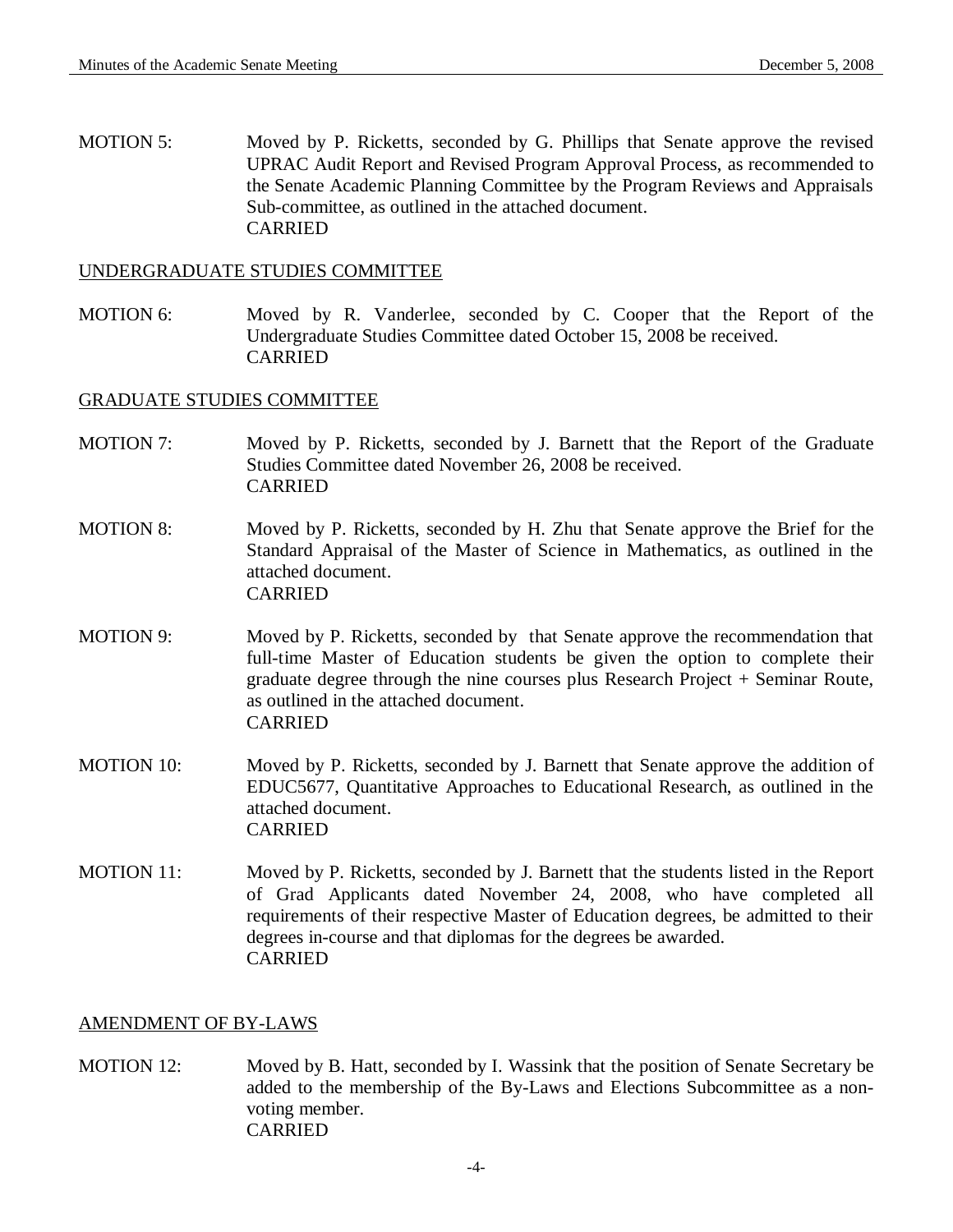MOTION 5: Moved by P. Ricketts, seconded by G. Phillips that Senate approve the revised UPRAC Audit Report and Revised Program Approval Process, as recommended to the Senate Academic Planning Committee by the Program Reviews and Appraisals Sub-committee, as outlined in the attached document. CARRIED

### UNDERGRADUATE STUDIES COMMITTEE

MOTION 6: Moved by R. Vanderlee, seconded by C. Cooper that the Report of the Undergraduate Studies Committee dated October 15, 2008 be received. CARRIED

#### GRADUATE STUDIES COMMITTEE

- MOTION 7: Moved by P. Ricketts, seconded by J. Barnett that the Report of the Graduate Studies Committee dated November 26, 2008 be received. CARRIED
- MOTION 8: Moved by P. Ricketts, seconded by H. Zhu that Senate approve the Brief for the Standard Appraisal of the Master of Science in Mathematics, as outlined in the attached document. CARRIED
- MOTION 9: Moved by P. Ricketts, seconded by that Senate approve the recommendation that full-time Master of Education students be given the option to complete their graduate degree through the nine courses plus Research Project + Seminar Route, as outlined in the attached document. CARRIED
- MOTION 10: Moved by P. Ricketts, seconded by J. Barnett that Senate approve the addition of EDUC5677, Quantitative Approaches to Educational Research, as outlined in the attached document. CARRIED
- MOTION 11: Moved by P. Ricketts, seconded by J. Barnett that the students listed in the Report of Grad Applicants dated November 24, 2008, who have completed all requirements of their respective Master of Education degrees, be admitted to their degrees in-course and that diplomas for the degrees be awarded. CARRIED

### AMENDMENT OF BY-LAWS

MOTION 12: Moved by B. Hatt, seconded by I. Wassink that the position of Senate Secretary be added to the membership of the By-Laws and Elections Subcommittee as a nonvoting member. CARRIED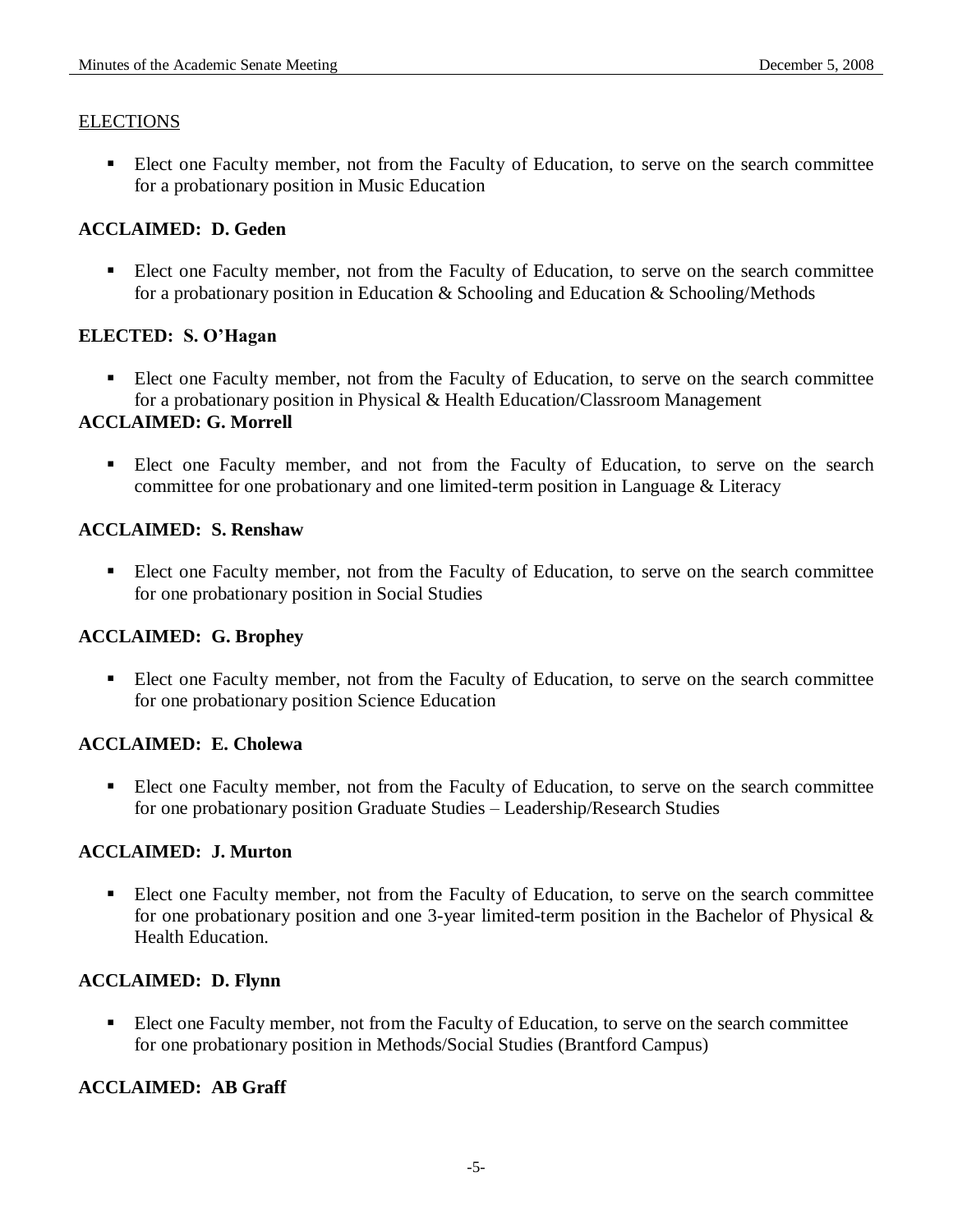## **ELECTIONS**

 Elect one Faculty member, not from the Faculty of Education, to serve on the search committee for a probationary position in Music Education

## **ACCLAIMED: D. Geden**

 Elect one Faculty member, not from the Faculty of Education, to serve on the search committee for a probationary position in Education & Schooling and Education & Schooling/Methods

## **ELECTED: S. O'Hagan**

 Elect one Faculty member, not from the Faculty of Education, to serve on the search committee for a probationary position in Physical & Health Education/Classroom Management

# **ACCLAIMED: G. Morrell**

 Elect one Faculty member, and not from the Faculty of Education, to serve on the search committee for one probationary and one limited-term position in Language & Literacy

## **ACCLAIMED: S. Renshaw**

 Elect one Faculty member, not from the Faculty of Education, to serve on the search committee for one probationary position in Social Studies

# **ACCLAIMED: G. Brophey**

 Elect one Faculty member, not from the Faculty of Education, to serve on the search committee for one probationary position Science Education

# **ACCLAIMED: E. Cholewa**

 Elect one Faculty member, not from the Faculty of Education, to serve on the search committee for one probationary position Graduate Studies – Leadership/Research Studies

# **ACCLAIMED: J. Murton**

Elect one Faculty member, not from the Faculty of Education, to serve on the search committee for one probationary position and one 3-year limited-term position in the Bachelor of Physical & Health Education.

### **ACCLAIMED: D. Flynn**

Elect one Faculty member, not from the Faculty of Education, to serve on the search committee for one probationary position in Methods/Social Studies (Brantford Campus)

# **ACCLAIMED: AB Graff**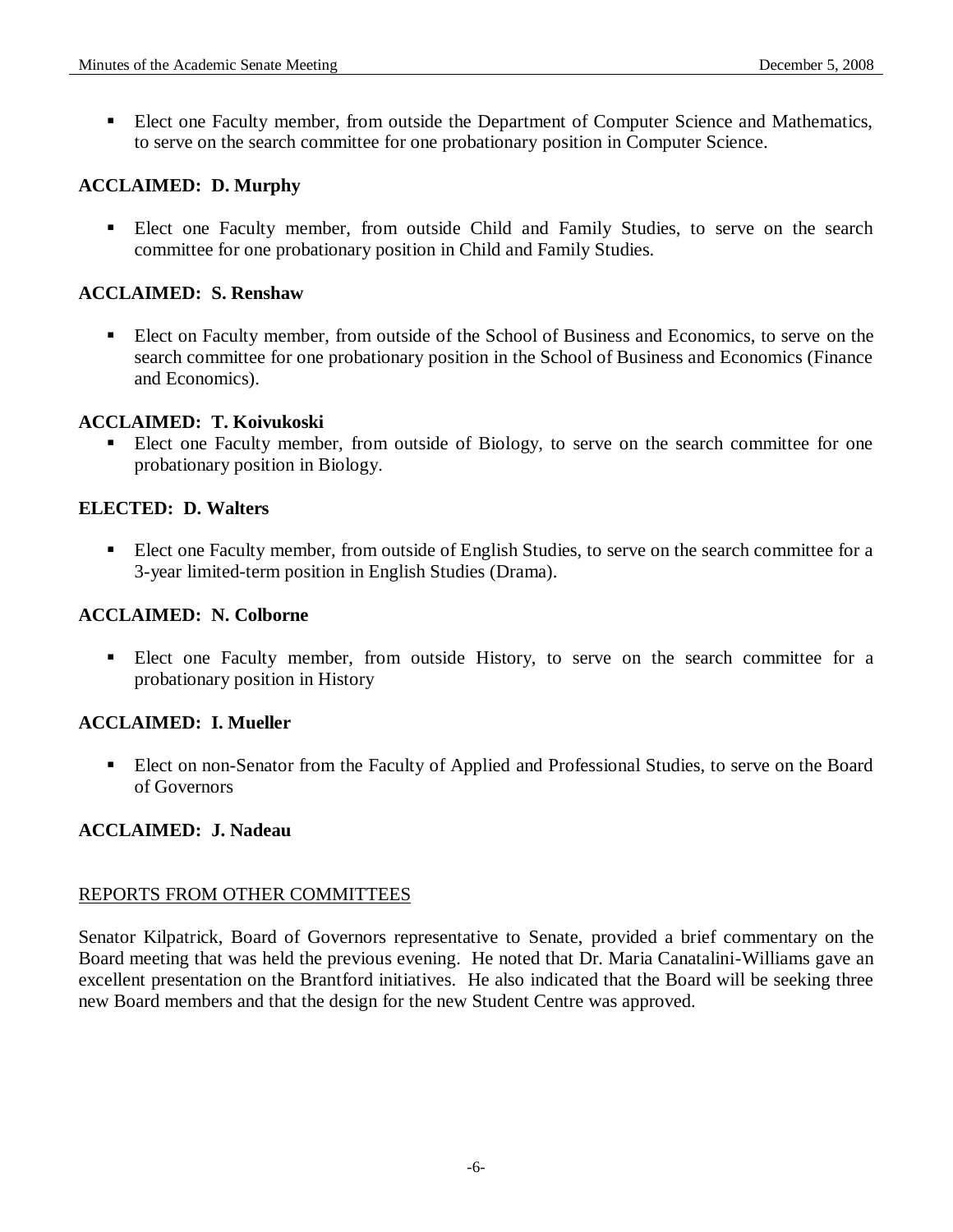Elect one Faculty member, from outside the Department of Computer Science and Mathematics, to serve on the search committee for one probationary position in Computer Science.

## **ACCLAIMED: D. Murphy**

 Elect one Faculty member, from outside Child and Family Studies, to serve on the search committee for one probationary position in Child and Family Studies.

## **ACCLAIMED: S. Renshaw**

 Elect on Faculty member, from outside of the School of Business and Economics, to serve on the search committee for one probationary position in the School of Business and Economics (Finance and Economics).

### **ACCLAIMED: T. Koivukoski**

 Elect one Faculty member, from outside of Biology, to serve on the search committee for one probationary position in Biology.

## **ELECTED: D. Walters**

 Elect one Faculty member, from outside of English Studies, to serve on the search committee for a 3-year limited-term position in English Studies (Drama).

### **ACCLAIMED: N. Colborne**

 Elect one Faculty member, from outside History, to serve on the search committee for a probationary position in History

### **ACCLAIMED: I. Mueller**

 Elect on non-Senator from the Faculty of Applied and Professional Studies, to serve on the Board of Governors

### **ACCLAIMED: J. Nadeau**

### REPORTS FROM OTHER COMMITTEES

Senator Kilpatrick, Board of Governors representative to Senate, provided a brief commentary on the Board meeting that was held the previous evening. He noted that Dr. Maria Canatalini-Williams gave an excellent presentation on the Brantford initiatives. He also indicated that the Board will be seeking three new Board members and that the design for the new Student Centre was approved.